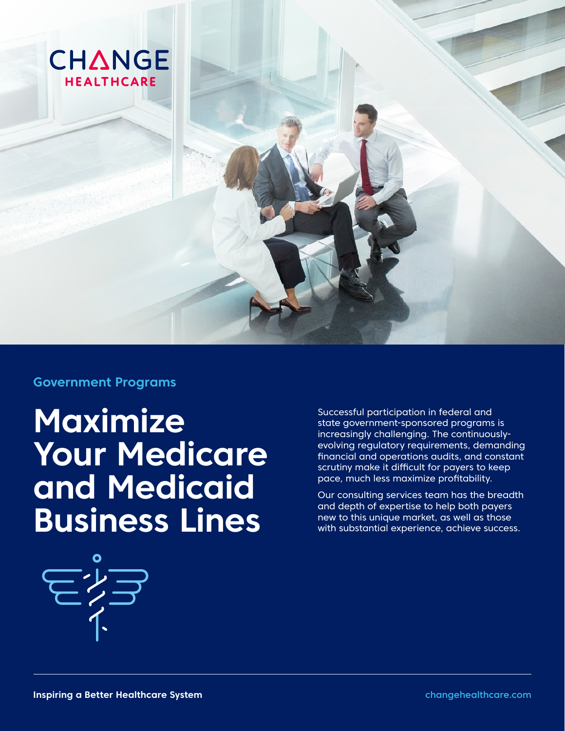

## **Government Programs**

**Maximize Your Medicare and Medicaid Business Lines** 

Successful participation in federal and state government-sponsored programs is increasingly challenging. The continuouslyevolving regulatory requirements, demanding financial and operations audits, and constant scrutiny make it difficult for payers to keep pace, much less maximize profitability.

Our consulting services team has the breadth and depth of expertise to help both payers new to this unique market, as well as those with substantial experience, achieve success.